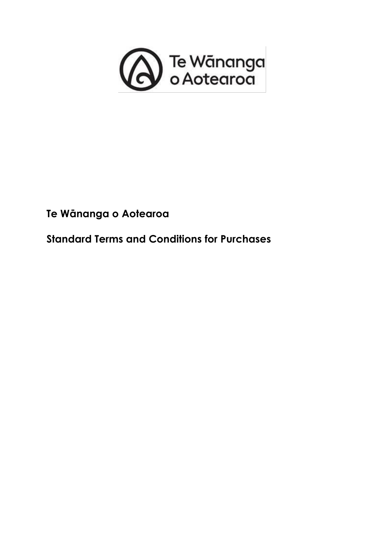

# **Te Wānanga o Aotearoa**

**Standard Terms and Conditions for Purchases**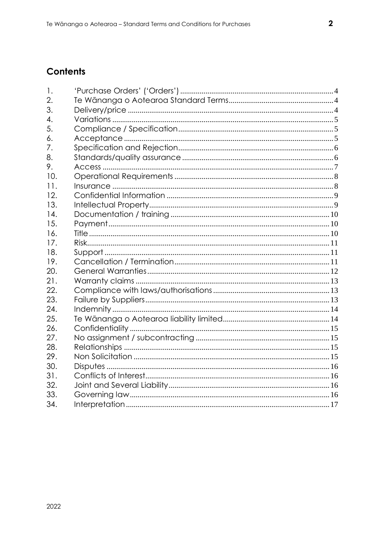## **Contents**

| 1.  |  |
|-----|--|
| 2.  |  |
| 3.  |  |
| 4.  |  |
| 5.  |  |
| 6.  |  |
| 7.  |  |
| 8.  |  |
| 9.  |  |
| 10. |  |
| 11. |  |
| 12. |  |
| 13. |  |
| 14. |  |
| 15. |  |
| 16. |  |
| 17. |  |
| 18. |  |
| 19. |  |
| 20. |  |
| 21. |  |
| 22. |  |
| 23. |  |
| 24. |  |
| 25. |  |
| 26. |  |
| 27. |  |
| 28. |  |
| 29. |  |
| 30. |  |
| 31. |  |
| 32. |  |
| 33. |  |
| 34. |  |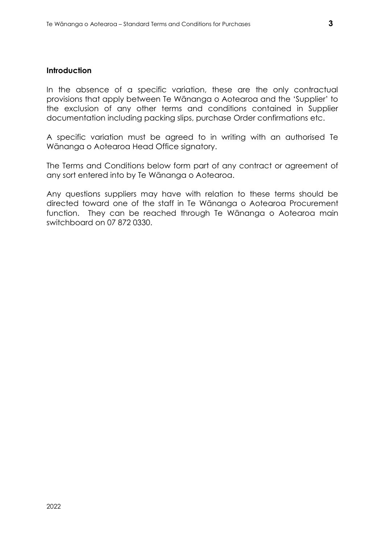#### **Introduction**

In the absence of a specific variation, these are the only contractual provisions that apply between Te Wānanga o Aotearoa and the 'Supplier' to the exclusion of any other terms and conditions contained in Supplier documentation including packing slips, purchase Order confirmations etc.

A specific variation must be agreed to in writing with an authorised Te Wānanga o Aotearoa Head Office signatory.

The Terms and Conditions below form part of any contract or agreement of any sort entered into by Te Wānanga o Aotearoa.

Any questions suppliers may have with relation to these terms should be directed toward one of the staff in Te Wānanga o Aotearoa Procurement function. They can be reached through Te Wānanga o Aotearoa main switchboard on 07 872 0330.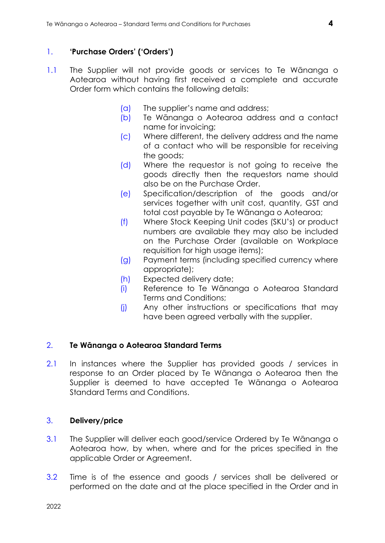## <span id="page-3-0"></span>1. **'Purchase Orders' ('Orders')**

- 1.1 The Supplier will not provide goods or services to Te Wānanga o Aotearoa without having first received a complete and accurate Order form which contains the following details:
	- (a) The supplier's name and address;
	- (b) Te Wānanga o Aotearoa address and a contact name for invoicing;
	- (c) Where different, the delivery address and the name of a contact who will be responsible for receiving the goods;
	- (d) Where the requestor is not going to receive the goods directly then the requestors name should also be on the Purchase Order.
	- (e) Specification/description of the goods and/or services together with unit cost, quantity, GST and total cost payable by Te Wānanga o Aotearoa;
	- (f) Where Stock Keeping Unit codes (SKU's) or product numbers are available they may also be included on the Purchase Order (available on Workplace requisition for high usage items);
	- (g) Payment terms (including specified currency where appropriate);
	- (h) Expected delivery date;
	- (i) Reference to Te Wānanga o Aotearoa Standard Terms and Conditions;
	- (j) Any other instructions or specifications that may have been agreed verbally with the supplier.

## <span id="page-3-1"></span>2. **Te Wānanga o Aotearoa Standard Terms**

2.1 In instances where the Supplier has provided goods / services in response to an Order placed by Te Wānanga o Aotearoa then the Supplier is deemed to have accepted Te Wānanga o Aotearoa Standard Terms and Conditions.

## <span id="page-3-2"></span>3. **Delivery/price**

- 3.1 The Supplier will deliver each good/service Ordered by Te Wānanga o Aotearoa how, by when, where and for the prices specified in the applicable Order or Agreement.
- 3.2 Time is of the essence and goods / services shall be delivered or performed on the date and at the place specified in the Order and in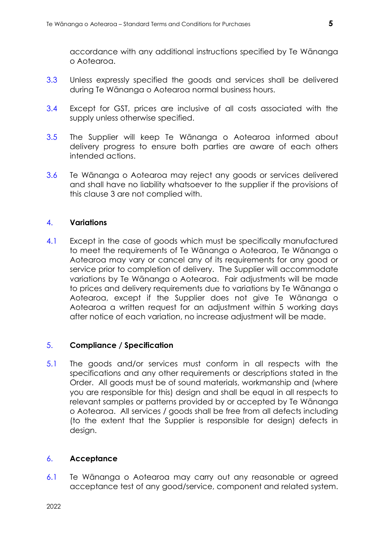accordance with any additional instructions specified by Te Wānanga o Aotearoa.

- 3.3 Unless expressly specified the goods and services shall be delivered during Te Wānanga o Aotearoa normal business hours.
- 3.4 Except for GST, prices are inclusive of all costs associated with the supply unless otherwise specified.
- 3.5 The Supplier will keep Te Wānanga o Aotearoa informed about delivery progress to ensure both parties are aware of each others intended actions.
- 3.6 Te Wānanga o Aotearoa may reject any goods or services delivered and shall have no liability whatsoever to the supplier if the provisions of this clause 3 are not complied with.

## <span id="page-4-0"></span>4. **Variations**

4.1 Except in the case of goods which must be specifically manufactured to meet the requirements of Te Wānanga o Aotearoa, Te Wānanga o Aotearoa may vary or cancel any of its requirements for any good or service prior to completion of delivery. The Supplier will accommodate variations by Te Wānanga o Aotearoa. Fair adjustments will be made to prices and delivery requirements due to variations by Te Wānanga o Aotearoa, except if the Supplier does not give Te Wānanga o Aotearoa a written request for an adjustment within 5 working days after notice of each variation, no increase adjustment will be made.

#### <span id="page-4-1"></span>5. **Compliance / Specification**

5.1 The goods and/or services must conform in all respects with the specifications and any other requirements or descriptions stated in the Order. All goods must be of sound materials, workmanship and (where you are responsible for this) design and shall be equal in all respects to relevant samples or patterns provided by or accepted by Te Wānanga o Aotearoa. All services / goods shall be free from all defects including (to the extent that the Supplier is responsible for design) defects in design.

#### <span id="page-4-2"></span>6. **Acceptance**

6.1 Te Wānanga o Aotearoa may carry out any reasonable or agreed acceptance test of any good/service, component and related system.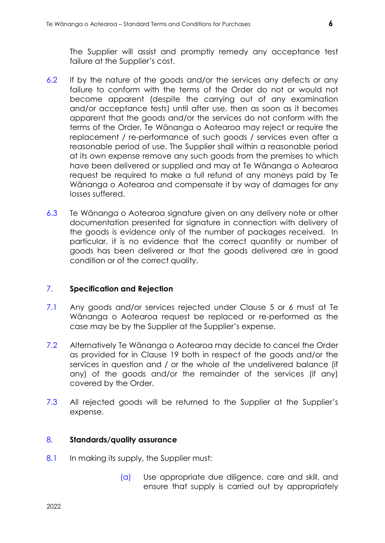The Supplier will assist and promptly remedy any acceptance test failure at the Supplier's cost.

- 6.2 If by the nature of the goods and/or the services any defects or any failure to conform with the terms of the Order do not or would not become apparent (despite the carrying out of any examination and/or acceptance tests) until after use, then as soon as it becomes apparent that the goods and/or the services do not conform with the terms of the Order, Te Wānanga o Aotearoa may reject or require the replacement / re-performance of such goods / services even after a reasonable period of use. The Supplier shall within a reasonable period at its own expense remove any such goods from the premises to which have been delivered or supplied and may at Te Wānanga o Aotearoa request be required to make a full refund of any moneys paid by Te Wānanga o Aotearoa and compensate it by way of damages for any losses suffered.
- 6.3 Te Wānanga o Aotearoa signature given on any delivery note or other documentation presented for signature in connection with delivery of the goods is evidence only of the number of packages received. In particular, it is no evidence that the correct quantity or number of goods has been delivered or that the goods delivered are in good condition or of the correct quality.

#### <span id="page-5-0"></span>7. **Specification and Rejection**

- 7.1 Any goods and/or services rejected under Clause 5 or 6 must at Te Wānanga o Aotearoa request be replaced or re-performed as the case may be by the Supplier at the Supplier's expense.
- 7.2 Alternatively Te Wānanga o Aotearoa may decide to cancel the Order as provided for in Clause 19 both in respect of the goods and/or the services in question and / or the whole of the undelivered balance (if any) of the goods and/or the remainder of the services (if any) covered by the Order.
- 7.3 All rejected goods will be returned to the Supplier at the Supplier's expense.

## <span id="page-5-1"></span>8. **Standards/quality assurance**

- 8.1 In making its supply, the Supplier must:
	- (a) Use appropriate due diligence, care and skill, and ensure that supply is carried out by appropriately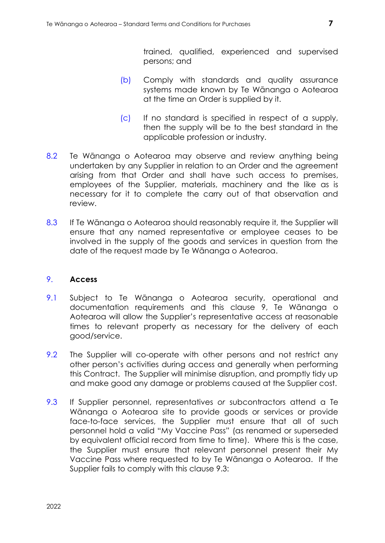trained, qualified, experienced and supervised persons; and

- (b) Comply with standards and quality assurance systems made known by Te Wānanga o Aotearoa at the time an Order is supplied by it.
- (c) If no standard is specified in respect of a supply, then the supply will be to the best standard in the applicable profession or industry.
- 8.2 Te Wānanga o Aotearoa may observe and review anything being undertaken by any Supplier in relation to an Order and the agreement arising from that Order and shall have such access to premises, employees of the Supplier, materials, machinery and the like as is necessary for it to complete the carry out of that observation and review.
- 8.3 If Te Wānanga o Aotearoa should reasonably require it, the Supplier will ensure that any named representative or employee ceases to be involved in the supply of the goods and services in question from the date of the request made by Te Wānanga o Aotearoa.

## <span id="page-6-0"></span>9. **Access**

- 9.1 Subject to Te Wānanga o Aotearoa security, operational and documentation requirements and this clause 9, Te Wānanga o Aotearoa will allow the Supplier's representative access at reasonable times to relevant property as necessary for the delivery of each good/service.
- 9.2 The Supplier will co-operate with other persons and not restrict any other person's activities during access and generally when performing this Contract. The Supplier will minimise disruption, and promptly tidy up and make good any damage or problems caused at the Supplier cost.
- 9.3 If Supplier personnel, representatives *or* subcontractors attend a Te Wānanga o Aotearoa site to provide goods or services or provide face-to-face services, the Supplier must ensure that all of such personnel hold a valid "My Vaccine Pass" (as renamed or superseded by equivalent official record from time to time). Where this is the case, the Supplier must ensure that relevant personnel present their My Vaccine Pass where requested to by Te Wānanga o Aotearoa. If the Supplier fails to comply with this clause 9.3: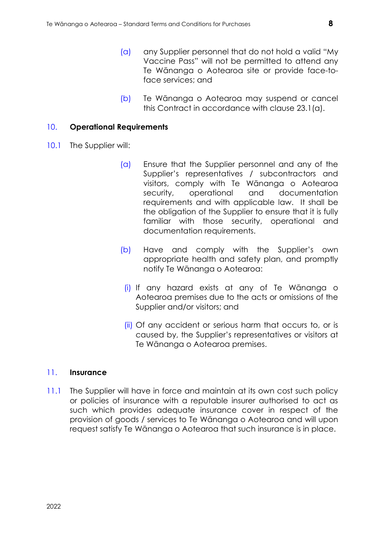- (a) any Supplier personnel that do not hold a valid "My Vaccine Pass" will not be permitted to attend any Te Wānanga o Aotearoa site or provide face-toface services; and
- (b) Te Wānanga o Aotearoa may suspend or cancel this Contract in accordance with clause [23.1\(a\).](#page-12-3)

#### <span id="page-7-0"></span>10. **Operational Requirements**

- 10.1 The Supplier will:
	- (a) Ensure that the Supplier personnel and any of the Supplier's representatives */* subcontractors and visitors, comply with Te Wānanga o Aotearoa security, operational and documentation requirements and with applicable law. It shall be the obligation of the Supplier to ensure that it is fully familiar with those security, operational and documentation requirements.
	- (b) Have and comply with the Supplier's own appropriate health and safety plan, and promptly notify Te Wānanga o Aotearoa:
	- (i) If any hazard exists at any of Te Wānanga o Aotearoa premises due to the acts or omissions of the Supplier and/or visitors; and
	- (ii) Of any accident or serious harm that occurs to, or is caused by, the Supplier's representatives or visitors at Te Wānanga o Aotearoa premises.

#### <span id="page-7-1"></span>11. **Insurance**

11.1 The Supplier will have in force and maintain at its own cost such policy or policies of insurance with a reputable insurer authorised to act as such which provides adequate insurance cover in respect of the provision of goods / services to Te Wānanga o Aotearoa and will upon request satisfy Te Wānanga o Aotearoa that such insurance is in place.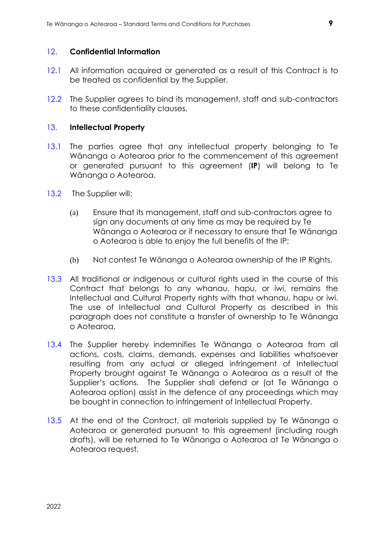#### <span id="page-8-0"></span>12. **Confidential Information**

- 12.1 All information acquired or generated as a result of this Contract is to be treated as confidential by the Supplier.
- 12.2 The Supplier agrees to bind its management, staff and sub-contractors to these confidentiality clauses.

#### <span id="page-8-1"></span>13. **Intellectual Property**

- 13.1 The parties agree that any intellectual property belonging to Te Wānanga o Aotearoa prior to the commencement of this agreement or generated pursuant to this agreement (**IP**) will belong to Te Wānanga o Aotearoa.
- 13.2 The Supplier will:
	- (a) Ensure that its management, staff and sub-contractors agree to sign any documents at any time as may be required by Te Wānanga o Aotearoa or if necessary to ensure that Te Wānanga o Aotearoa is able to enjoy the full benefits of the IP;
	- (b) Not contest Te Wānanga o Aotearoa ownership of the IP Rights.
- 13.3 All traditional or indigenous or cultural rights used in the course of this Contract that belongs to any whanau, hapu, or iwi, remains the Intellectual and Cultural Property rights with that whanau, hapu or iwi. The use of Intellectual and Cultural Property as described in this paragraph does not constitute a transfer of ownership to Te Wānanga o Aotearoa.
- 13.4 The Supplier hereby indemnifies Te Wānanga o Aotearoa from all actions, costs, claims, demands, expenses and liabilities whatsoever resulting from any actual or alleged infringement of Intellectual Property brought against Te Wānanga o Aotearoa as a result of the Supplier's actions. The Supplier shall defend or (at Te Wānanga o Aotearoa option) assist in the defence of any proceedings which may be bought in connection to infringement of Intellectual Property.
- 13.5 At the end of the Contract, all materials supplied by Te Wānanga o Aotearoa or generated pursuant to this agreement (including rough drafts), will be returned to Te Wānanga o Aotearoa at Te Wānanga o Aotearoa request.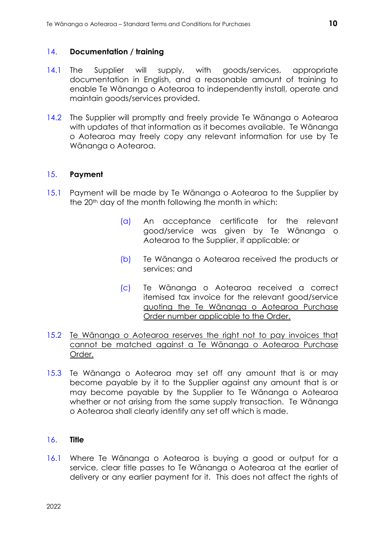## <span id="page-9-0"></span>14. **Documentation / training**

- 14.1 The Supplier will supply, with goods/services, appropriate documentation in English, and a reasonable amount of training to enable Te Wānanga o Aotearoa to independently install, operate and maintain goods/services provided.
- 14.2 The Supplier will promptly and freely provide Te Wānanga o Aotearoa with updates of that information as it becomes available. Te Wānanga o Aotearoa may freely copy any relevant information for use by Te Wānanga o Aotearoa.

## <span id="page-9-1"></span>15. **Payment**

- 15.1 Payment will be made by Te Wānanga o Aotearoa to the Supplier by the 20<sup>th</sup> day of the month following the month in which:
	- (a) An acceptance certificate for the relevant good/service was given by Te Wānanga o Aotearoa to the Supplier, if applicable; or
	- (b) Te Wānanga o Aotearoa received the products or services; and
	- (c) Te Wānanga o Aotearoa received a correct itemised tax invoice for the relevant good/service quoting the Te Wānanga o Aotearoa Purchase Order number applicable to the Order.
- 15.2 Te Wānanga o Aotearoa reserves the right not to pay invoices that cannot be matched against a Te Wānanga o Aotearoa Purchase Order.
- 15.3 Te Wānanga o Aotearoa may set off any amount that is or may become payable by it to the Supplier against any amount that is or may become payable by the Supplier to Te Wānanga o Aotearoa whether or not arising from the same supply transaction. Te Wānanga o Aotearoa shall clearly identify any set off which is made.

#### <span id="page-9-2"></span>16. **Title**

16.1 Where Te Wānanga o Aotearoa is buying a good or output for a service, clear title passes to Te Wānanga o Aotearoa at the earlier of delivery or any earlier payment for it. This does not affect the rights of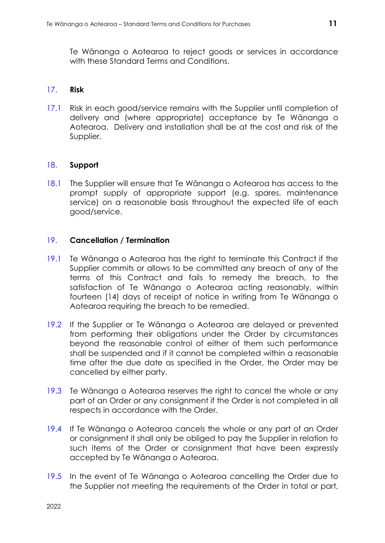Te Wānanga o Aotearoa to reject goods or services in accordance with these Standard Terms and Conditions.

#### <span id="page-10-0"></span>17. **Risk**

17.1 Risk in each good/service remains with the Supplier until completion of delivery and (where appropriate) acceptance by Te Wānanga o Aotearoa. Delivery and installation shall be at the cost and risk of the Supplier.

#### <span id="page-10-1"></span>18. **Support**

18.1 The Supplier will ensure that Te Wānanga o Aotearoa has access to the prompt supply of appropriate support (e.g. spares, maintenance service) on a reasonable basis throughout the expected life of each good/service.

#### <span id="page-10-2"></span>19. **Cancellation / Termination**

- 19.1 Te Wānanga o Aotearoa has the right to terminate this Contract if the Supplier commits or allows to be committed any breach of any of the terms of this Contract and fails to remedy the breach, to the satisfaction of Te Wānanga o Aotearoa acting reasonably, within fourteen (14) days of receipt of notice in writing from Te Wānanga o Aotearoa requiring the breach to be remedied.
- 19.2 If the Supplier or Te Wānanga o Aotearoa are delayed or prevented from performing their obligations under the Order by circumstances beyond the reasonable control of either of them such performance shall be suspended and if it cannot be completed within a reasonable time after the due date as specified in the Order, the Order may be cancelled by either party.
- 19.3 Te Wānanga o Aotearoa reserves the right to cancel the whole or any part of an Order or any consignment if the Order is not completed in all respects in accordance with the Order.
- 19.4 If Te Wānanga o Aotearoa cancels the whole or any part of an Order or consignment it shall only be obliged to pay the Supplier in relation to such items of the Order or consignment that have been expressly accepted by Te Wānanga o Aotearoa.
- 19.5 In the event of Te Wānanga o Aotearoa cancelling the Order due to the Supplier not meeting the requirements of the Order in total or part,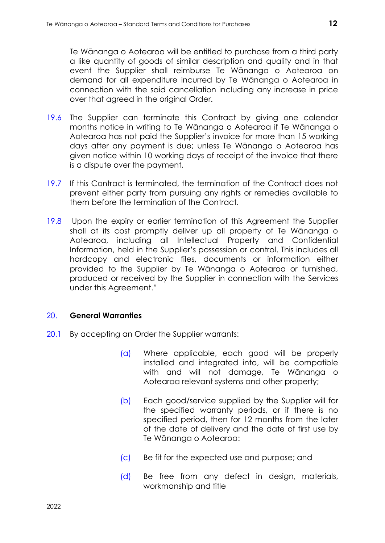Te Wānanga o Aotearoa will be entitled to purchase from a third party a like quantity of goods of similar description and quality and in that event the Supplier shall reimburse Te Wānanga o Aotearoa on demand for all expenditure incurred by Te Wānanga o Aotearoa in connection with the said cancellation including any increase in price over that agreed in the original Order.

- 19.6 The Supplier can terminate this Contract by giving one calendar months notice in writing to Te Wānanga o Aotearoa if Te Wānanga o Aotearoa has not paid the Supplier's invoice for more than 15 working days after any payment is due; unless Te Wānanga o Aotearoa has given notice within 10 working days of receipt of the invoice that there is a dispute over the payment.
- 19.7 If this Contract is terminated, the termination of the Contract does not prevent either party from pursuing any rights or remedies available to them before the termination of the Contract.
- 19.8 Upon the expiry or earlier termination of this Agreement the Supplier shall at its cost promptly deliver up all property of Te Wānanga o Aotearoa, including all Intellectual Property and Confidential Information, held in the Supplier's possession or control. This includes all hardcopy and electronic files, documents or information either provided to the Supplier by Te Wānanga o Aotearoa or furnished, produced or received by the Supplier in connection with the Services under this Agreement."

#### <span id="page-11-0"></span>20. **General Warranties**

- 20.1 By accepting an Order the Supplier warrants:
	- (a) Where applicable, each good will be properly installed and integrated into, will be compatible with and will not damage, Te Wānanga o Aotearoa relevant systems and other property;
	- (b) Each good/service supplied by the Supplier will for the specified warranty periods, or if there is no specified period, then for 12 months from the later of the date of delivery and the date of first use by Te Wānanga o Aotearoa:
	- (c) Be fit for the expected use and purpose; and
	- (d) Be free from any defect in design, materials, workmanship and title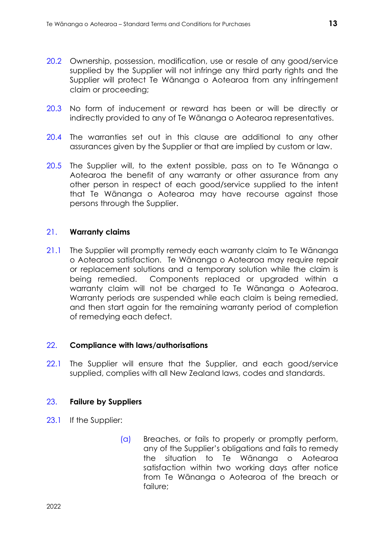- 20.2 Ownership, possession, modification, use or resale of any good/service supplied by the Supplier will not infringe any third party rights and the Supplier will protect Te Wānanga o Aotearoa from any infringement claim or proceeding;
- 20.3 No form of inducement or reward has been or will be directly or indirectly provided to any of Te Wānanga o Aotearoa representatives.
- 20.4 The warranties set out in this clause are additional to any other assurances given by the Supplier or that are implied by custom or law.
- 20.5 The Supplier will, to the extent possible, pass on to Te Wānanga o Aotearoa the benefit of any warranty or other assurance from any other person in respect of each good/service supplied to the intent that Te Wānanga o Aotearoa may have recourse against those persons through the Supplier.

#### <span id="page-12-0"></span>21. **Warranty claims**

21.1 The Supplier will promptly remedy each warranty claim to Te Wānanga o Aotearoa satisfaction. Te Wānanga o Aotearoa may require repair or replacement solutions and a temporary solution while the claim is being remedied. Components replaced or upgraded within a warranty claim will not be charged to Te Wānanga o Aotearoa. Warranty periods are suspended while each claim is being remedied, and then start again for the remaining warranty period of completion of remedying each defect.

#### <span id="page-12-1"></span>22. **Compliance with laws/authorisations**

22.1 The Supplier will ensure that the Supplier, and each good/service supplied, complies with all New Zealand laws, codes and standards.

#### <span id="page-12-2"></span>23. **Failure by Suppliers**

- <span id="page-12-3"></span>23.1 If the Supplier:
	- (a) Breaches, or fails to properly or promptly perform, any of the Supplier's obligations and fails to remedy the situation to Te Wānanga o Aotearoa satisfaction within two working days after notice from Te Wānanga o Aotearoa of the breach or failure;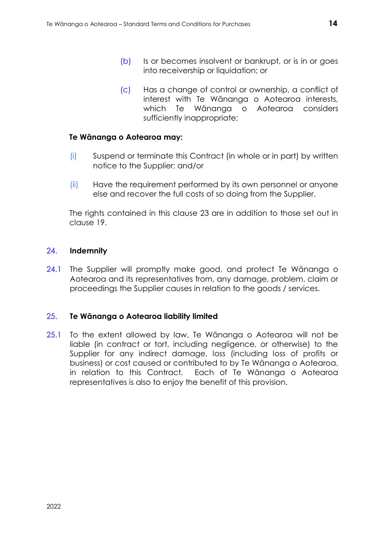- (b) Is or becomes insolvent or bankrupt, or is in or goes into receivership or liquidation; or
- (c) Has a change of control or ownership, a conflict of interest with Te Wānanga o Aotearoa interests, which Te Wānanga o Aotearoa considers sufficiently inappropriate;

#### **Te Wānanga o Aotearoa may:**

- (i) Suspend or terminate this Contract (in whole or in part) by written notice to the Supplier; and/or
- (ii) Have the requirement performed by its own personnel or anyone else and recover the full costs of so doing from the Supplier.

The rights contained in this clause 23 are in addition to those set out in clause 19.

#### <span id="page-13-0"></span>24. **Indemnity**

24.1 The Supplier will promptly make good, and protect Te Wānanga o Aotearoa and its representatives from, any damage, problem, claim or proceedings the Supplier causes in relation to the goods / services.

#### <span id="page-13-1"></span>25. **Te Wānanga o Aotearoa liability limited**

25.1 To the extent allowed by law, Te Wānanga o Aotearoa will not be liable (in contract or tort, including negligence, or otherwise) to the Supplier for any indirect damage, loss (including loss of profits or business) or cost caused or contributed to by Te Wānanga o Aotearoa, in relation to this Contract. Each of Te Wānanga o Aotearoa representatives is also to enjoy the benefit of this provision.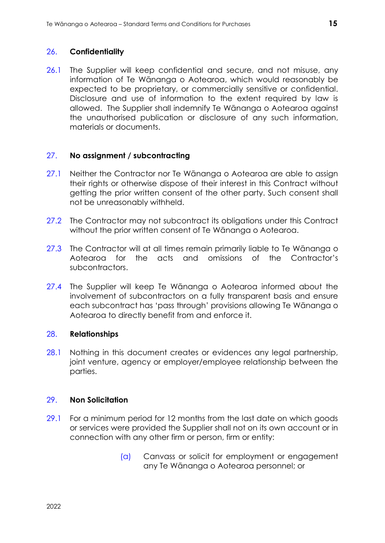#### <span id="page-14-0"></span>26. **Confidentiality**

26.1 The Supplier will keep confidential and secure, and not misuse, any information of Te Wānanga o Aotearoa, which would reasonably be expected to be proprietary, or commercially sensitive or confidential. Disclosure and use of information to the extent required by law is allowed. The Supplier shall indemnify Te Wānanga o Aotearoa against the unauthorised publication or disclosure of any such information, materials or documents.

#### <span id="page-14-1"></span>27. **No assignment / subcontracting**

- 27.1 Neither the Contractor nor Te Wānanga o Aotearoa are able to assign their rights or otherwise dispose of their interest in this Contract without getting the prior written consent of the other party. Such consent shall not be unreasonably withheld.
- 27.2 The Contractor may not subcontract its obligations under this Contract without the prior written consent of Te Wānanga o Aotearoa.
- 27.3 The Contractor will at all times remain primarily liable to Te Wānanga o Aotearoa for the acts and omissions of the Contractor's subcontractors.
- 27.4 The Supplier will keep Te Wānanga o Aotearoa informed about the involvement of subcontractors on a fully transparent basis and ensure each subcontract has 'pass through' provisions allowing Te Wānanga o Aotearoa to directly benefit from and enforce it.

#### <span id="page-14-2"></span>28. **Relationships**

28.1 Nothing in this document creates or evidences any legal partnership, joint venture, agency or employer/employee relationship between the parties.

#### <span id="page-14-3"></span>29. **Non Solicitation**

- 29.1 For a minimum period for 12 months from the last date on which goods or services were provided the Supplier shall not on its own account or in connection with any other firm or person, firm or entity:
	- (a) Canvass or solicit for employment or engagement any Te Wānanga o Aotearoa personnel; or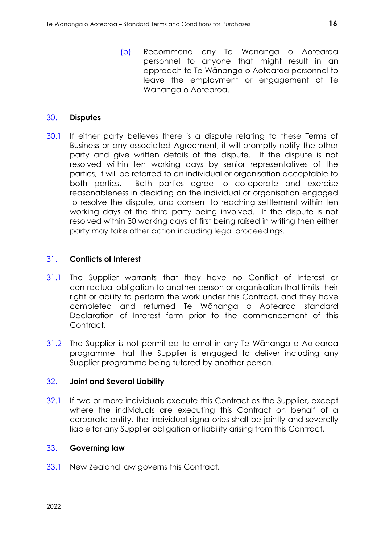(b) Recommend any Te Wānanga o Aotearoa personnel to anyone that might result in an approach to Te Wānanga o Aotearoa personnel to leave the employment or engagement of Te Wānanga o Aotearoa.

#### <span id="page-15-0"></span>30. **Disputes**

30.1 If either party believes there is a dispute relating to these Terms of Business or any associated Agreement, it will promptly notify the other party and give written details of the dispute. If the dispute is not resolved within ten working days by senior representatives of the parties, it will be referred to an individual or organisation acceptable to both parties. Both parties agree to co-operate and exercise reasonableness in deciding on the individual or organisation engaged to resolve the dispute, and consent to reaching settlement within ten working days of the third party being involved. If the dispute is not resolved within 30 working days of first being raised in writing then either party may take other action including legal proceedings.

#### <span id="page-15-1"></span>31. **Conflicts of Interest**

- 31.1 The Supplier warrants that they have no Conflict of Interest or contractual obligation to another person or organisation that limits their right or ability to perform the work under this Contract, and they have completed and returned Te Wānanga o Aotearoa standard Declaration of Interest form prior to the commencement of this Contract.
- 31.2 The Supplier is not permitted to enrol in any Te Wānanga o Aotearoa programme that the Supplier is engaged to deliver including any Supplier programme being tutored by another person.

#### <span id="page-15-2"></span>32. **Joint and Several Liability**

32.1 If two or more individuals execute this Contract as the Supplier, except where the individuals are executing this Contract on behalf of a corporate entity, the individual signatories shall be jointly and severally liable for any Supplier obligation or liability arising from this Contract.

## <span id="page-15-3"></span>33. **Governing law**

33.1 New Zealand law governs this Contract.